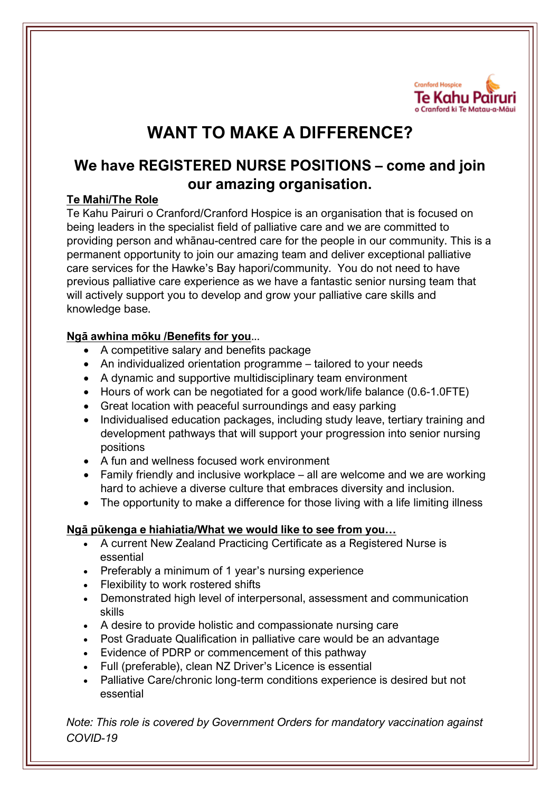

# **WANT TO MAKE A DIFFERENCE?**

## **We have REGISTERED NURSE POSITIONS – come and join our amazing organisation.**

### **Te Mahi/The Role**

Te Kahu Pairuri o Cranford/Cranford Hospice is an organisation that is focused on being leaders in the specialist field of palliative care and we are committed to providing person and whānau-centred care for the people in our community. This is a permanent opportunity to join our amazing team and deliver exceptional palliative care services for the Hawke's Bay hapori/community. You do not need to have previous palliative care experience as we have a fantastic senior nursing team that will actively support you to develop and grow your palliative care skills and knowledge base.

### **Ngā awhina mōku /Benefits for you**...

- A competitive salary and benefits package
- An individualized orientation programme tailored to your needs
- A dynamic and supportive multidisciplinary team environment
- Hours of work can be negotiated for a good work/life balance (0.6-1.0FTE)
- Great location with peaceful surroundings and easy parking
- Individualised education packages, including study leave, tertiary training and development pathways that will support your progression into senior nursing positions
- A fun and wellness focused work environment
- Family friendly and inclusive workplace all are welcome and we are working hard to achieve a diverse culture that embraces diversity and inclusion.
- The opportunity to make a difference for those living with a life limiting illness

#### **Ngā pūkenga e hiahiatia/What we would like to see from you…**

- A current New Zealand Practicing Certificate as a Registered Nurse is essential
- Preferably a minimum of 1 year's nursing experience
- Flexibility to work rostered shifts
- Demonstrated high level of interpersonal, assessment and communication skills
- A desire to provide holistic and compassionate nursing care
- Post Graduate Qualification in palliative care would be an advantage
- Evidence of PDRP or commencement of this pathway
- Full (preferable), clean NZ Driver's Licence is essential
- Palliative Care/chronic long-term conditions experience is desired but not essential

*Note: This role is covered by Government Orders for mandatory vaccination against COVID-19*